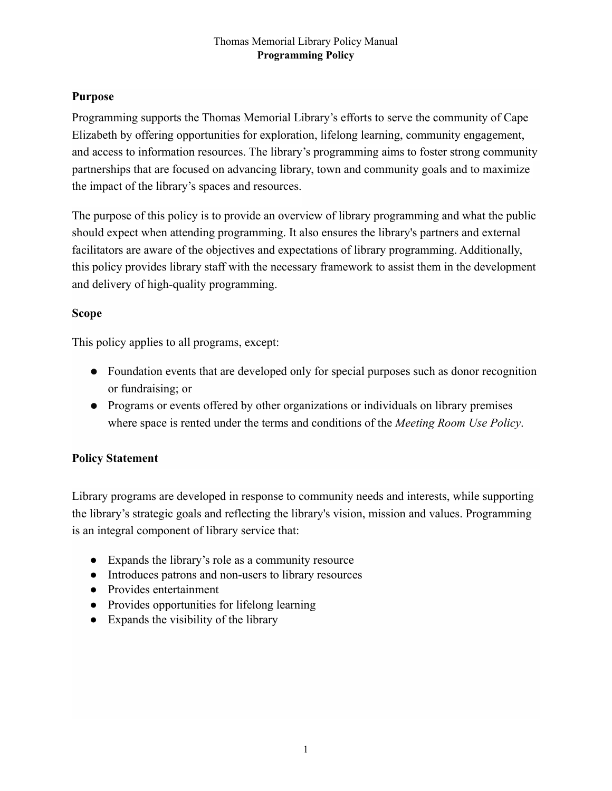## **Purpose**

Programming supports the Thomas Memorial Library's efforts to serve the community of Cape Elizabeth by offering opportunities for exploration, lifelong learning, community engagement, and access to information resources. The library's programming aims to foster strong community partnerships that are focused on advancing library, town and community goals and to maximize the impact of the library's spaces and resources.

The purpose of this policy is to provide an overview of library programming and what the public should expect when attending programming. It also ensures the library's partners and external facilitators are aware of the objectives and expectations of library programming. Additionally, this policy provides library staff with the necessary framework to assist them in the development and delivery of high-quality programming.

# **Scope**

This policy applies to all programs, except:

- Foundation events that are developed only for special purposes such as donor recognition or fundraising; or
- Programs or events offered by other organizations or individuals on library premises where space is rented under the terms and conditions of the *Meeting Room Use Policy*.

## **Policy Statement**

Library programs are developed in response to community needs and interests, while supporting the library's strategic goals and reflecting the library's vision, mission and values. Programming is an integral component of library service that:

- Expands the library's role as a community resource
- Introduces patrons and non-users to library resources
- Provides entertainment
- Provides opportunities for lifelong learning
- Expands the visibility of the library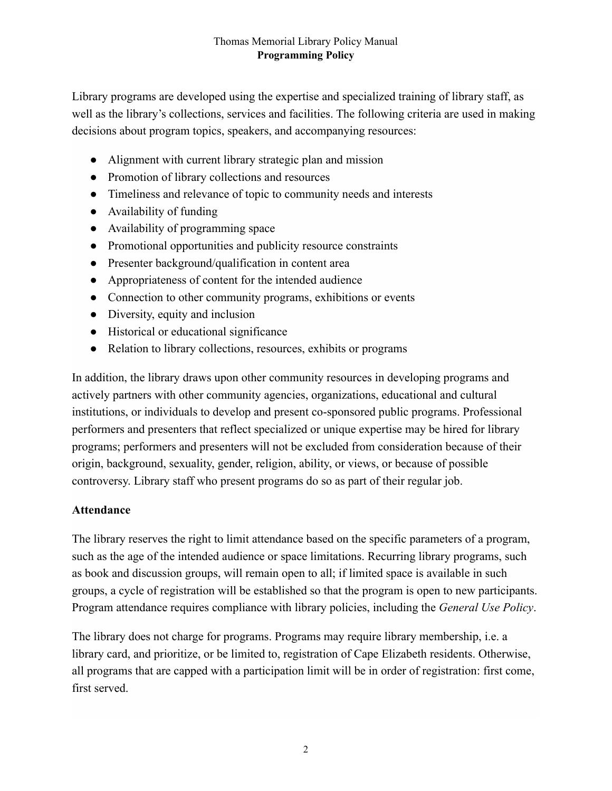Library programs are developed using the expertise and specialized training of library staff, as well as the library's collections, services and facilities. The following criteria are used in making decisions about program topics, speakers, and accompanying resources:

- Alignment with current library strategic plan and mission
- Promotion of library collections and resources
- Timeliness and relevance of topic to community needs and interests
- Availability of funding
- Availability of programming space
- Promotional opportunities and publicity resource constraints
- Presenter background/qualification in content area
- Appropriateness of content for the intended audience
- Connection to other community programs, exhibitions or events
- Diversity, equity and inclusion
- Historical or educational significance
- Relation to library collections, resources, exhibits or programs

In addition, the library draws upon other community resources in developing programs and actively partners with other community agencies, organizations, educational and cultural institutions, or individuals to develop and present co-sponsored public programs. Professional performers and presenters that reflect specialized or unique expertise may be hired for library programs; performers and presenters will not be excluded from consideration because of their origin, background, sexuality, gender, religion, ability, or views, or because of possible controversy. Library staff who present programs do so as part of their regular job.

## **Attendance**

The library reserves the right to limit attendance based on the specific parameters of a program, such as the age of the intended audience or space limitations. Recurring library programs, such as book and discussion groups, will remain open to all; if limited space is available in such groups, a cycle of registration will be established so that the program is open to new participants. Program attendance requires compliance with library policies, including the *General Use Policy*.

The library does not charge for programs. Programs may require library membership, i.e. a library card, and prioritize, or be limited to, registration of Cape Elizabeth residents. Otherwise, all programs that are capped with a participation limit will be in order of registration: first come, first served.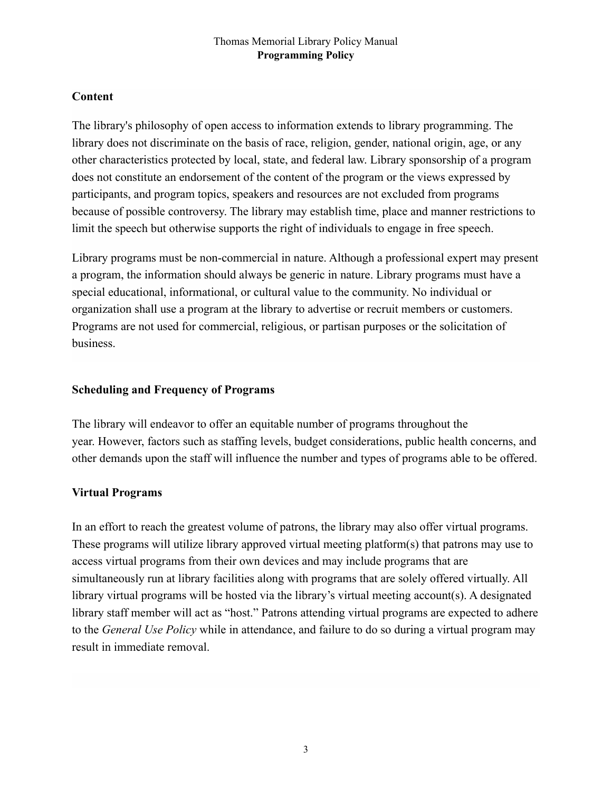# **Content**

The library's philosophy of open access to information extends to library programming. The library does not discriminate on the basis of race, religion, gender, national origin, age, or any other characteristics protected by local, state, and federal law. Library sponsorship of a program does not constitute an endorsement of the content of the program or the views expressed by participants, and program topics, speakers and resources are not excluded from programs because of possible controversy. The library may establish time, place and manner restrictions to limit the speech but otherwise supports the right of individuals to engage in free speech.

Library programs must be non-commercial in nature. Although a professional expert may present a program, the information should always be generic in nature. Library programs must have a special educational, informational, or cultural value to the community. No individual or organization shall use a program at the library to advertise or recruit members or customers. Programs are not used for commercial, religious, or partisan purposes or the solicitation of business.

### **Scheduling and Frequency of Programs**

The library will endeavor to offer an equitable number of programs throughout the year. However, factors such as staffing levels, budget considerations, public health concerns, and other demands upon the staff will influence the number and types of programs able to be offered.

## **Virtual Programs**

In an effort to reach the greatest volume of patrons, the library may also offer virtual programs. These programs will utilize library approved virtual meeting platform(s) that patrons may use to access virtual programs from their own devices and may include programs that are simultaneously run at library facilities along with programs that are solely offered virtually. All library virtual programs will be hosted via the library's virtual meeting account(s). A designated library staff member will act as "host." Patrons attending virtual programs are expected to adhere to the *General Use Policy* while in attendance, and failure to do so during a virtual program may result in immediate removal.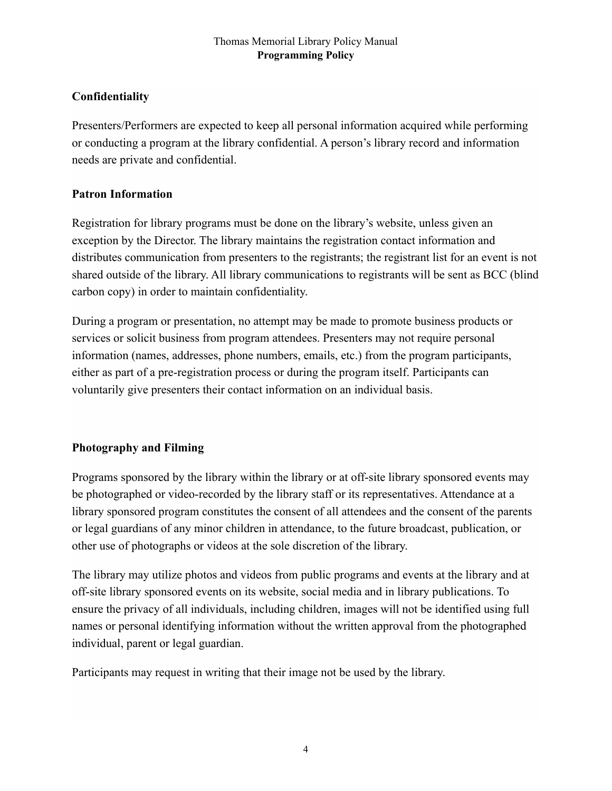# **Confidentiality**

Presenters/Performers are expected to keep all personal information acquired while performing or conducting a program at the library confidential. A person's library record and information needs are private and confidential.

## **Patron Information**

Registration for library programs must be done on the library's website, unless given an exception by the Director. The library maintains the registration contact information and distributes communication from presenters to the registrants; the registrant list for an event is not shared outside of the library. All library communications to registrants will be sent as BCC (blind carbon copy) in order to maintain confidentiality.

During a program or presentation, no attempt may be made to promote business products or services or solicit business from program attendees. Presenters may not require personal information (names, addresses, phone numbers, emails, etc.) from the program participants, either as part of a pre-registration process or during the program itself. Participants can voluntarily give presenters their contact information on an individual basis.

# **Photography and Filming**

Programs sponsored by the library within the library or at off-site library sponsored events may be photographed or video-recorded by the library staff or its representatives. Attendance at a library sponsored program constitutes the consent of all attendees and the consent of the parents or legal guardians of any minor children in attendance, to the future broadcast, publication, or other use of photographs or videos at the sole discretion of the library.

The library may utilize photos and videos from public programs and events at the library and at off-site library sponsored events on its website, social media and in library publications. To ensure the privacy of all individuals, including children, images will not be identified using full names or personal identifying information without the written approval from the photographed individual, parent or legal guardian.

Participants may request in writing that their image not be used by the library.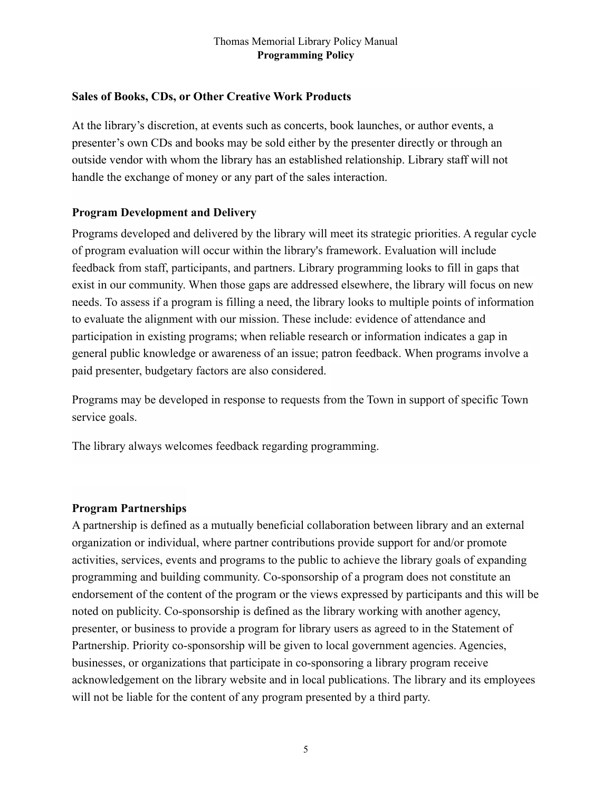### **Sales of Books, CDs, or Other Creative Work Products**

At the library's discretion, at events such as concerts, book launches, or author events, a presenter's own CDs and books may be sold either by the presenter directly or through an outside vendor with whom the library has an established relationship. Library staff will not handle the exchange of money or any part of the sales interaction.

### **Program Development and Delivery**

Programs developed and delivered by the library will meet its strategic priorities. A regular cycle of program evaluation will occur within the library's framework. Evaluation will include feedback from staff, participants, and partners. Library programming looks to fill in gaps that exist in our community. When those gaps are addressed elsewhere, the library will focus on new needs. To assess if a program is filling a need, the library looks to multiple points of information to evaluate the alignment with our mission. These include: evidence of attendance and participation in existing programs; when reliable research or information indicates a gap in general public knowledge or awareness of an issue; patron feedback. When programs involve a paid presenter, budgetary factors are also considered.

Programs may be developed in response to requests from the Town in support of specific Town service goals.

The library always welcomes feedback regarding programming.

### **Program Partnerships**

A partnership is defined as a mutually beneficial collaboration between library and an external organization or individual, where partner contributions provide support for and/or promote activities, services, events and programs to the public to achieve the library goals of expanding programming and building community. Co-sponsorship of a program does not constitute an endorsement of the content of the program or the views expressed by participants and this will be noted on publicity. Co-sponsorship is defined as the library working with another agency, presenter, or business to provide a program for library users as agreed to in the Statement of Partnership. Priority co-sponsorship will be given to local government agencies. Agencies, businesses, or organizations that participate in co-sponsoring a library program receive acknowledgement on the library website and in local publications. The library and its employees will not be liable for the content of any program presented by a third party.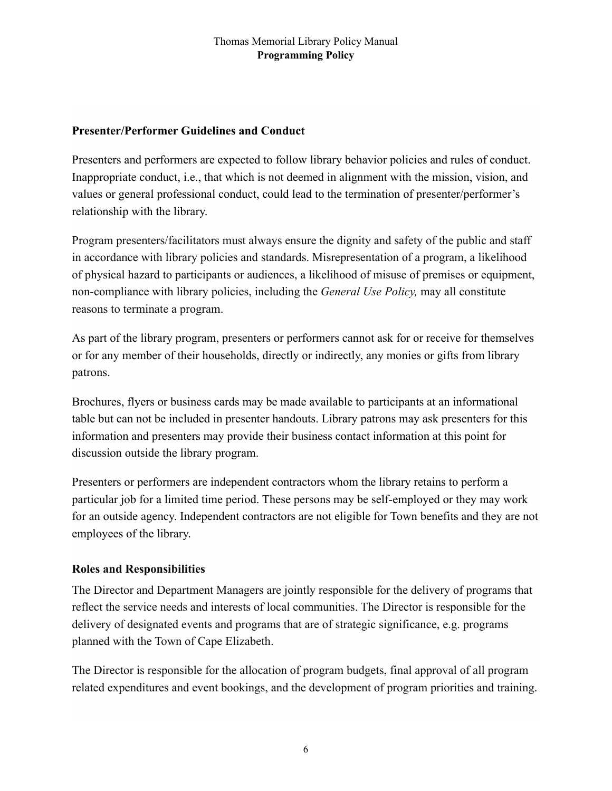## **Presenter/Performer Guidelines and Conduct**

Presenters and performers are expected to follow library behavior policies and rules of conduct. Inappropriate conduct, i.e., that which is not deemed in alignment with the mission, vision, and values or general professional conduct, could lead to the termination of presenter/performer's relationship with the library.

Program presenters/facilitators must always ensure the dignity and safety of the public and staff in accordance with library policies and standards. Misrepresentation of a program, a likelihood of physical hazard to participants or audiences, a likelihood of misuse of premises or equipment, non-compliance with library policies, including the *General Use Policy,* may all constitute reasons to terminate a program.

As part of the library program, presenters or performers cannot ask for or receive for themselves or for any member of their households, directly or indirectly, any monies or gifts from library patrons.

Brochures, flyers or business cards may be made available to participants at an informational table but can not be included in presenter handouts. Library patrons may ask presenters for this information and presenters may provide their business contact information at this point for discussion outside the library program.

Presenters or performers are independent contractors whom the library retains to perform a particular job for a limited time period. These persons may be self-employed or they may work for an outside agency. Independent contractors are not eligible for Town benefits and they are not employees of the library.

## **Roles and Responsibilities**

The Director and Department Managers are jointly responsible for the delivery of programs that reflect the service needs and interests of local communities. The Director is responsible for the delivery of designated events and programs that are of strategic significance, e.g. programs planned with the Town of Cape Elizabeth.

The Director is responsible for the allocation of program budgets, final approval of all program related expenditures and event bookings, and the development of program priorities and training.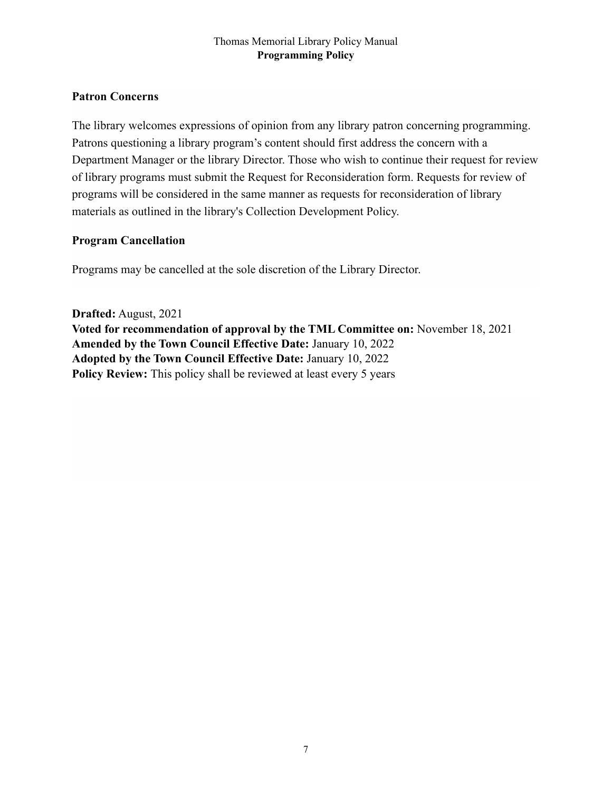## **Patron Concerns**

The library welcomes expressions of opinion from any library patron concerning programming. Patrons questioning a library program's content should first address the concern with a Department Manager or the library Director. Those who wish to continue their request for review of library programs must submit the Request for Reconsideration form. Requests for review of programs will be considered in the same manner as requests for reconsideration of library materials as outlined in the library's Collection Development Policy.

### **Program Cancellation**

Programs may be cancelled at the sole discretion of the Library Director.

**Drafted:** August, 2021 **Voted for recommendation of approval by the TML Committee on:** November 18, 2021 **Amended by the Town Council Effective Date:** January 10, 2022 **Adopted by the Town Council Effective Date:** January 10, 2022 **Policy Review:** This policy shall be reviewed at least every 5 years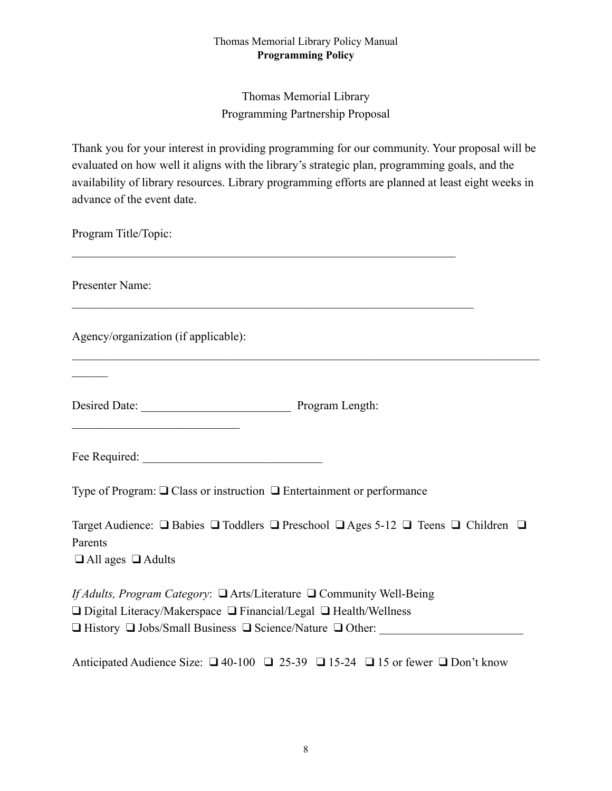Thomas Memorial Library Programming Partnership Proposal

Thank you for your interest in providing programming for our community. Your proposal will be evaluated on how well it aligns with the library's strategic plan, programming goals, and the availability of library resources. Library programming efforts are planned at least eight weeks in advance of the event date.

 $\mathcal{L}_\mathcal{L} = \{ \mathcal{L}_\mathcal{L} = \{ \mathcal{L}_\mathcal{L} = \{ \mathcal{L}_\mathcal{L} = \{ \mathcal{L}_\mathcal{L} = \{ \mathcal{L}_\mathcal{L} = \{ \mathcal{L}_\mathcal{L} = \{ \mathcal{L}_\mathcal{L} = \{ \mathcal{L}_\mathcal{L} = \{ \mathcal{L}_\mathcal{L} = \{ \mathcal{L}_\mathcal{L} = \{ \mathcal{L}_\mathcal{L} = \{ \mathcal{L}_\mathcal{L} = \{ \mathcal{L}_\mathcal{L} = \{ \mathcal{L}_\mathcal{$ 

 $\mathcal{L}_\text{max}$  , and the contribution of the contribution of the contribution of the contribution of the contribution of the contribution of the contribution of the contribution of the contribution of the contribution of t

 $\mathcal{L}_\mathcal{L} = \{ \mathcal{L}_\mathcal{L} = \{ \mathcal{L}_\mathcal{L} = \{ \mathcal{L}_\mathcal{L} = \{ \mathcal{L}_\mathcal{L} = \{ \mathcal{L}_\mathcal{L} = \{ \mathcal{L}_\mathcal{L} = \{ \mathcal{L}_\mathcal{L} = \{ \mathcal{L}_\mathcal{L} = \{ \mathcal{L}_\mathcal{L} = \{ \mathcal{L}_\mathcal{L} = \{ \mathcal{L}_\mathcal{L} = \{ \mathcal{L}_\mathcal{L} = \{ \mathcal{L}_\mathcal{L} = \{ \mathcal{L}_\mathcal{$ 

Program Title/Topic:

Presenter Name:

 $\mathcal{L}$ 

Agency/organization (if applicable):

 $\mathcal{L}_\text{max}$  , where  $\mathcal{L}_\text{max}$  , we have the set of the set of the set of the set of the set of the set of the set of the set of the set of the set of the set of the set of the set of the set of the set of the set of

Desired Date: \_\_\_\_\_\_\_\_\_\_\_\_\_\_\_\_\_\_\_\_\_\_\_\_\_ Program Length:

Fee Required:

Type of Program: ❑ Class or instruction ❑ Entertainment or performance

Target Audience: ❑ Babies ❑ Toddlers ❑ Preschool ❑ Ages 5-12 ❑ Teens ❑ Children ❑ Parents ❑ All ages ❑ Adults

*If Adults, Program Category*: ❑ Arts/Literature ❑ Community Well-Being ❑ Digital Literacy/Makerspace ❑ Financial/Legal ❑ Health/Wellness  $\Box$  History  $\Box$  Jobs/Small Business  $\Box$  Science/Nature  $\Box$  Other:

Anticipated Audience Size: ❑ 40-100 ❑ 25-39 ❑ 15-24 ❑ 15 or fewer ❑ Don't know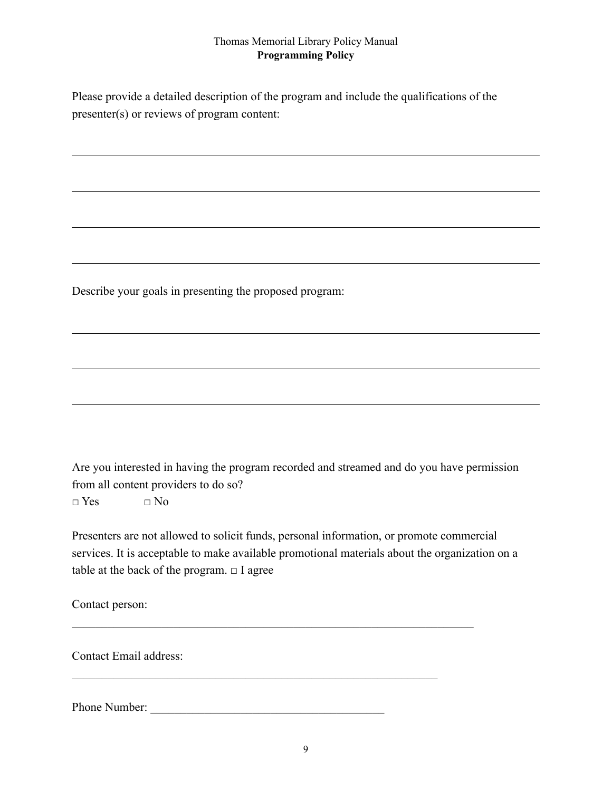Please provide a detailed description of the program and include the qualifications of the presenter(s) or reviews of program content:

Describe your goals in presenting the proposed program:

Are you interested in having the program recorded and streamed and do you have permission from all content providers to do so?

 $\Box$  Yes  $\Box$  No

Presenters are not allowed to solicit funds, personal information, or promote commercial services. It is acceptable to make available promotional materials about the organization on a table at the back of the program.  $\Box$  I agree

 $\mathcal{L}_\mathcal{L} = \{ \mathcal{L}_\mathcal{L} = \{ \mathcal{L}_\mathcal{L} = \{ \mathcal{L}_\mathcal{L} = \{ \mathcal{L}_\mathcal{L} = \{ \mathcal{L}_\mathcal{L} = \{ \mathcal{L}_\mathcal{L} = \{ \mathcal{L}_\mathcal{L} = \{ \mathcal{L}_\mathcal{L} = \{ \mathcal{L}_\mathcal{L} = \{ \mathcal{L}_\mathcal{L} = \{ \mathcal{L}_\mathcal{L} = \{ \mathcal{L}_\mathcal{L} = \{ \mathcal{L}_\mathcal{L} = \{ \mathcal{L}_\mathcal{$ 

 $\mathcal{L}_\text{max}$  and the contract of the contract of the contract of the contract of the contract of the contract of

Contact person:

Contact Email address:

Phone Number: \_\_\_\_\_\_\_\_\_\_\_\_\_\_\_\_\_\_\_\_\_\_\_\_\_\_\_\_\_\_\_\_\_\_\_\_\_\_\_